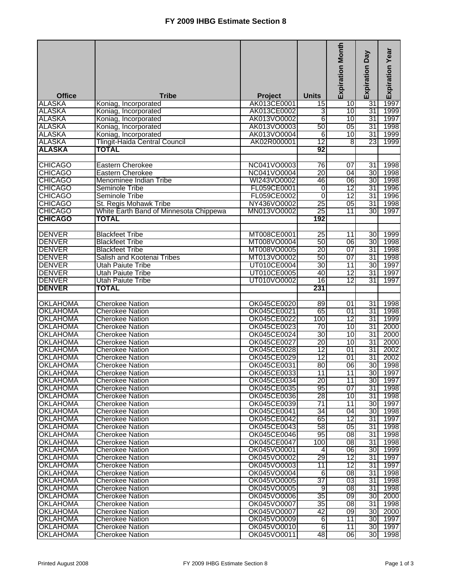| <b>Office</b>                      | <b>Tribe</b>                                     | <b>Project</b>             | <b>Units</b>    | <b>Expiration Month</b> | Veq<br>Expiration | dexpiration Year |
|------------------------------------|--------------------------------------------------|----------------------------|-----------------|-------------------------|-------------------|------------------|
| <b>ALASKA</b>                      | Koniag, Incorporated                             | AK013CE0001                | 15              | 10                      | 31                |                  |
| <b>ALASKA</b>                      | Koniag, Incorporated                             | AK013CE0002                | 3               | 10                      | 31                | 1999             |
| <b>ALASKA</b>                      | Koniag, Incorporated                             | AK013VO0002                | 6               | 10                      | 31                | 1997             |
| <b>ALASKA</b>                      | Koniag, Incorporated                             | AK013VO0003                | $\overline{50}$ | $\overline{05}$         | $\overline{31}$   | 1998             |
| ALASKA                             | Koniag, Incorporated                             | AK013VO0004                | 6               | 10                      | 31                | 1999             |
| <b>ALASKA</b>                      | Tlingit-Haida Central Council                    | AK02R000001                | $\overline{12}$ | 8                       | 23                | 1999             |
| <b>ALASKA</b>                      | TOTAL                                            |                            | 92              |                         |                   |                  |
|                                    |                                                  |                            |                 |                         |                   |                  |
| <b>CHICAGO</b>                     | <b>Eastern Cherokee</b>                          | NC041VO0003                | 76              | $\overline{07}$         | 31                | 1998             |
| <b>CHICAGO</b>                     | <b>Eastern Cherokee</b>                          | NC041VO0004                | 20              | 04                      | 30                | 1998             |
| <b>CHICAGO</b>                     | Menominee Indian Tribe                           | WI243VO0002                | 46              | 06                      | 30                | 1998             |
| <b>CHICAGO</b>                     | Seminole Tribe                                   | FL059CE0001                | $\overline{0}$  | 12                      | 31                | 1996             |
| <b>CHICAGO</b>                     | Seminole Tribe                                   | FL059CE0002                | 0               | $\overline{12}$         | 31                | 1996             |
| <b>CHICAGO</b>                     | St. Regis Mohawk Tribe                           | NY436VO0002                | 25              | 05                      | 31                | 1998             |
| <b>CHICAGO</b>                     | White Earth Band of Minnesota Chippewa           | MN013VO0002                | 25              | 11                      | 30                | 1997             |
| <b>CHICAGO</b>                     | <b>TOTAL</b>                                     |                            | 192             |                         |                   |                  |
|                                    |                                                  |                            |                 |                         |                   |                  |
| <b>DENVER</b>                      | <b>Blackfeet Tribe</b>                           | MT008CE0001                | 25              | 11                      | 30                | 1999             |
| <b>DENVER</b>                      | <b>Blackfeet Tribe</b>                           | MT008VO0004                | 50              | 06                      | 30                | 1998             |
| <b>DENVER</b>                      | <b>Blackfeet Tribe</b>                           | MT008VO0005                | 20              | 07                      | 31                | 1998             |
| <b>DENVER</b>                      | Salish and Kootenai Tribes                       | MT013VO0002                | 50              | 07                      | 31                | 1998             |
| <b>DENVER</b>                      | Utah Paiute Tribe                                | UT010CE0004                | 30              | 11                      | 30                | 1997             |
| <b>DENVER</b>                      | <b>Utah Paiute Tribe</b>                         | UT010CE0005                | 40              | $\overline{12}$         | $\overline{31}$   | 1997             |
| <b>DENVER</b>                      | <b>Utah Paiute Tribe</b>                         | UT010VO0002                | 16              | 12                      | 31                | 1997             |
| <b>DENVER</b>                      | <b>TOTAL</b>                                     |                            | 231             |                         |                   |                  |
| <b>OKLAHOMA</b>                    |                                                  |                            |                 |                         |                   |                  |
|                                    | <b>Cherokee Nation</b>                           | OK045CE0020                | 89              | 01                      | 31                | 1998             |
| <b>OKLAHOMA</b><br><b>OKLAHOMA</b> | <b>Cherokee Nation</b><br><b>Cherokee Nation</b> | OK045CE0021<br>OK045CE0022 | 65<br>100       | 01<br>12                | 31<br>31          | 1998<br>1999     |
| <b>OKLAHOMA</b>                    | <b>Cherokee Nation</b>                           | OK045CE0023                | 70              | 10                      | 31                | 2000             |
| <b>OKLAHOMA</b>                    | <b>Cherokee Nation</b>                           | OK045CE0024                | 30              | 10                      | 31                | 2000             |
| <b>OKLAHOMA</b>                    | <b>Cherokee Nation</b>                           | OK045CE0027                | 20              | 10                      | 31                | 2000             |
| <b>OKLAHOMA</b>                    | <b>Cherokee Nation</b>                           | OK045CE0028                | $\overline{12}$ | 01                      | 31                | 2002             |
| <b>OKLAHOMA</b>                    | <b>Cherokee Nation</b>                           | OK045CE0029                | $\overline{12}$ | 01                      | 31                | 2002             |
| <b>OKLAHOMA</b>                    | <b>Cherokee Nation</b>                           | OK045CE0031                | 80              | $\overline{06}$         | $\overline{30}$   | 1998             |
| <b>OKLAHOMA</b>                    | <b>Cherokee Nation</b>                           | OK045CE0033                | 11              | 11                      | 30 <sub>l</sub>   | 1997             |
| <b>OKLAHOMA</b>                    | <b>Cherokee Nation</b>                           | OK045CE0034                | 20              | 11                      | 30                | 1997             |
| <b>OKLAHOMA</b>                    | <b>Cherokee Nation</b>                           | OK045CE0035                | 95              | 07                      | 31                | 1998             |
| <b>OKLAHOMA</b>                    | <b>Cherokee Nation</b>                           | OK045CE0036                | 28              | 10                      | 31                | 1998             |
| <b>OKLAHOMA</b>                    | <b>Cherokee Nation</b>                           | OK045CE0039                | 71              | 11                      | 30                | 1997             |
| <b>OKLAHOMA</b>                    | <b>Cherokee Nation</b>                           | OK045CE0041                | 34              | 04                      | 30 <sup>l</sup>   | 1998             |
| <b>OKLAHOMA</b>                    | <b>Cherokee Nation</b>                           | OK045CE0042                | 65              | $\overline{12}$         | 31                | 1997             |
| <b>OKLAHOMA</b>                    | <b>Cherokee Nation</b>                           | OK045CE0043                | 58              | $\overline{05}$         | 31                | 1998             |
| <b>OKLAHOMA</b>                    | <b>Cherokee Nation</b>                           | OK045CE0046                | 95              | 081                     | 31                | 1998             |
| <b>OKLAHOMA</b>                    | <b>Cherokee Nation</b>                           | OK045CE0047                | 100             | 08                      | 31                | 1998             |
| <b>OKLAHOMA</b>                    | <b>Cherokee Nation</b>                           | OK045VO0001                | 4               | 06                      | 30                | 1999             |
| <b>OKLAHOMA</b>                    | <b>Cherokee Nation</b>                           | OK045VO0002                | 29              | 12                      | 31                | 1997             |
| <b>OKLAHOMA</b>                    | <b>Cherokee Nation</b>                           | OK045VO0003                | 11              | 12                      | 31                | 1997             |
| <b>OKLAHOMA</b>                    | <b>Cherokee Nation</b>                           | OK045VO0004                | 6               | 08                      | 31                | 1998             |
| <b>OKLAHOMA</b>                    | <b>Cherokee Nation</b>                           | OK045VO0005                | 37              | $\overline{03}$         | 31                | 1998             |
| <b>OKLAHOMA</b>                    | <b>Cherokee Nation</b>                           | OK045VO0005                | 9               | 08                      | 31                | 1998             |
| <b>OKLAHOMA</b>                    | <b>Cherokee Nation</b>                           | OK045VO0006                | 35              | 09                      | 30 <sup>1</sup>   | 2000             |
| <b>OKLAHOMA</b>                    | <b>Cherokee Nation</b>                           | OK045VO0007                | 35              | 08                      | 31                | 1998             |
| <b>OKLAHOMA</b>                    | <b>Cherokee Nation</b>                           | OK045VO0007                | 42              | 09                      | 30 <sup>l</sup>   | 2000             |
| <b>OKLAHOMA</b>                    | <b>Cherokee Nation</b>                           | OK045VO0009                | 6               | 11                      | 30 <sup>1</sup>   | 1997             |
| <b>OKLAHOMA</b>                    | <b>Cherokee Nation</b>                           | OK045VO0010                | 6               | 11                      | 30 <sup>1</sup>   | 1997             |
| <b>OKLAHOMA</b>                    | <b>Cherokee Nation</b>                           | OK045VO0011                | 48              | 8                       | 30                | 1998             |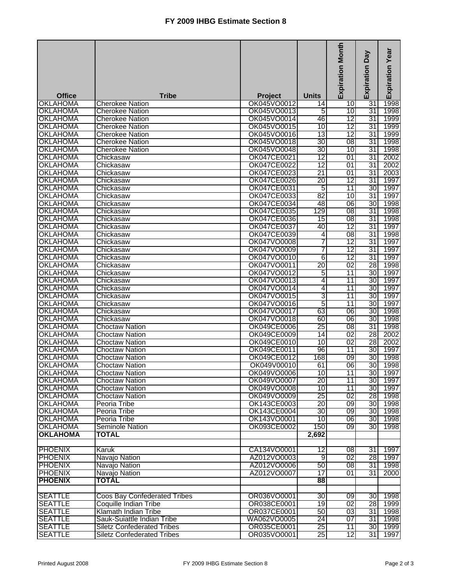|                                    |                                                  |                            |                 | <b>Expiration Month</b> | Day<br>Expiration     | <b>Expiration Year</b> |
|------------------------------------|--------------------------------------------------|----------------------------|-----------------|-------------------------|-----------------------|------------------------|
| <b>Office</b>                      | <b>Tribe</b>                                     | Project                    | <b>Units</b>    |                         |                       |                        |
| <b>OKLAHOMA</b>                    | <b>Cherokee Nation</b>                           | OK045VO0012                | 14              | 10                      | 31                    | 1998                   |
| <b>OKLAHOMA</b>                    | <b>Cherokee Nation</b>                           | OK045VO0013                | 5               | 10                      | 31                    | 1998                   |
| <b>OKLAHOMA</b>                    | <b>Cherokee Nation</b>                           | OK045VO0014                | 46              | 12                      | 31                    | 1999                   |
| <b>OKLAHOMA</b><br><b>OKLAHOMA</b> | <b>Cherokee Nation</b><br><b>Cherokee Nation</b> | OK045VO0015                | 10              | $\overline{12}$<br>12   | $\overline{31}$       | 1999                   |
|                                    |                                                  | OK045VO0016                | 13              |                         | 31                    | 1999                   |
| <b>OKLAHOMA</b>                    | <b>Cherokee Nation</b>                           | OK045VO0018                | 30              | $\overline{08}$         | 31<br>31              | 1998                   |
| <b>OKLAHOMA</b>                    | <b>Cherokee Nation</b>                           | OK045VO0048                | 30              | 10                      |                       | 1998                   |
| <b>OKLAHOMA</b>                    | Chickasaw                                        | OK047CE0021                | 12              | 01                      | 31                    | 2002                   |
| <b>OKLAHOMA</b>                    | Chickasaw                                        | OK047CE0022                | 12              | 01                      | 31                    | 2002                   |
| <b>OKLAHOMA</b>                    | Chickasaw                                        | OK047CE0023                | $\overline{21}$ | 01                      | $\overline{31}$       | 2003                   |
| <b>OKLAHOMA</b>                    | Chickasaw                                        | OK047CE0026                | 20              | 12                      | 31                    | 1997                   |
| <b>OKLAHOMA</b>                    | Chickasaw                                        | OK047CE0031                | 5               | 11                      | 30                    | 1997                   |
| <b>OKLAHOMA</b>                    | Chickasaw                                        | OK047CE0033                | 82              | 10                      | 31                    | 1997                   |
| <b>OKLAHOMA</b>                    | Chickasaw                                        | OK047CE0034                | 48              | 06                      | 30                    | 1998                   |
| <b>OKLAHOMA</b>                    | Chickasaw                                        | OK047CE0035<br>OK047CE0036 | 129             | $\overline{08}$         | 31                    | 1998                   |
| <b>OKLAHOMA</b>                    | Chickasaw                                        |                            | 15              | $\overline{08}$         | 31                    | 1998                   |
| <b>OKLAHOMA</b>                    | Chickasaw                                        | OK047CE0037                | 40              | $\overline{12}$         | 31<br>31              | 1997                   |
| <b>OKLAHOMA</b>                    | Chickasaw                                        | OK047CE0039                | 4               | $\overline{08}$         |                       | 1998                   |
| <b>OKLAHOMA</b>                    | Chickasaw                                        | OK047VO0008                | 7               | 12                      | 31                    | 1997                   |
| <b>OKLAHOMA</b>                    | Chickasaw                                        | OK047VO0009                | 7               | 12                      | 31                    | 1997                   |
| <b>OKLAHOMA</b>                    | Chickasaw                                        | OK047VO0010                | 6               | $\overline{12}$         | 31                    | 1997                   |
| <b>OKLAHOMA</b>                    | Chickasaw                                        | OK047VO0011                | 20              | $\overline{02}$         | 28                    | 1998                   |
| <b>OKLAHOMA</b>                    | Chickasaw                                        | OK047VO0012                | 5               | 11                      | 30                    | 1997                   |
| <b>OKLAHOMA</b>                    | Chickasaw                                        | OK047VO0013                | 4               | 11                      | 30                    | 1997                   |
| <b>OKLAHOMA</b>                    | Chickasaw                                        | OK047VO0014                | 4               | $\overline{11}$         | 30                    | 1997                   |
| <b>OKLAHOMA</b>                    | Chickasaw                                        | OK047VO0015                | 3               | $\overline{11}$         | 30                    | 1997                   |
| <b>OKLAHOMA</b>                    | Chickasaw                                        | OK047VO0016                | 5               | $\overline{11}$         | 30                    | 1997                   |
| <b>OKLAHOMA</b>                    | Chickasaw                                        | OK047VO0017                | 63              | 06                      | 30                    | 1998                   |
| <b>OKLAHOMA</b>                    | Chickasaw                                        | OK047VO0018                | 60              | 06                      | $\overline{30}$<br>31 | 1998                   |
| <b>OKLAHOMA</b><br><b>OKLAHOMA</b> | <b>Choctaw Nation</b><br><b>Choctaw Nation</b>   | OK049CE0006<br>OK049CE0009 | 25              | $\overline{08}$         | 28                    | 1998                   |
|                                    |                                                  |                            | 14              | 02<br>02                | 28                    | 2002                   |
| <b>OKLAHOMA</b>                    | <b>Choctaw Nation</b><br><b>Choctaw Nation</b>   | OK049CE0010                | 10              |                         |                       | 2002                   |
| <b>OKLAHOMA</b>                    |                                                  | OK049CE0011                | 96              | 11                      | 30                    | 1997                   |
| <b>OKLAHOMA</b>                    | <b>Choctaw Nation</b>                            | OK049CE0012                | 168             | 09                      | 30<br>$\overline{30}$ | 1998                   |
| <b>OKLAHOMA</b><br><b>OKLAHOMA</b> | <b>Choctaw Nation</b>                            | OK049V00010<br>OK049VO0006 | 61<br>10        | 06<br>11                | 30 <sub>l</sub>       | 1998<br>1997           |
|                                    | <b>Choctaw Nation</b>                            |                            |                 |                         |                       |                        |
| <b>OKLAHOMA</b>                    | <b>Choctaw Nation</b>                            | OK049VO0007                | 20              | 11                      | 30                    | 1997                   |
| <b>OKLAHOMA</b>                    | <b>Choctaw Nation</b>                            | OK049VO0008<br>OK049VO0009 | 10<br>25        | 11                      | 30                    | 1997                   |
| <b>OKLAHOMA</b>                    | <b>Choctaw Nation</b>                            | OK143CE0003                |                 | 02                      | 28                    | 1998                   |
| <b>OKLAHOMA</b><br><b>OKLAHOMA</b> | Peoria Tribe                                     | OK143CE0004                | 20<br>30        | $\overline{09}$         | 30 <sub>l</sub><br>30 | 1998<br>1998           |
| <b>OKLAHOMA</b>                    | Peoria Tribe<br>Peoria Tribe                     | OK143VO0001                | 10              | 09<br>06                | 30                    | 1998                   |
| <b>OKLAHOMA</b>                    | <b>Seminole Nation</b>                           | OK093CE0002                | 150             | 09                      | 30                    | 1998                   |
| <b>OKLAHOMA</b>                    | <b>TOTAL</b>                                     |                            | 2,692           |                         |                       |                        |
|                                    |                                                  |                            |                 |                         |                       |                        |
| <b>PHOENIX</b>                     | Karuk                                            | CA134VO0001                | 12              | $\overline{08}$         | 31                    | 1997                   |
| <b>PHOENIX</b>                     | Navajo Nation                                    | AZ012VO0003                | 9               | 02                      | 28                    | 1997                   |
| <b>PHOENIX</b>                     | Navajo Nation                                    | AZ012VO0006                | 50              | 08                      | 31                    | 1998                   |
| <b>PHOENIX</b>                     | Navajo Nation                                    | AZ012VO0007                | 17              | 01                      | 31                    | 2000                   |
| <b>PHOENIX</b>                     | <b>TOTAL</b>                                     |                            | 88              |                         |                       |                        |
|                                    |                                                  |                            |                 |                         |                       |                        |
| <b>SEATTLE</b>                     | <b>Coos Bay Confederated Tribes</b>              | OR036VO0001                | 30              | 09                      | 30                    | 1998                   |
| <b>SEATTLE</b>                     | Coquille Indian Tribe                            | OR038CE0001                | 19              | 02                      | 28                    | 1999                   |
| <b>SEATTLE</b><br><b>SEATTLE</b>   | Klamath Indian Tribe                             | OR037CE0001<br>WA062VO0005 | 50<br>24        | 03<br>07                | 31<br>31              | 1998<br>1998           |
| <b>SEATTLE</b>                     | Sauk-Suiattle Indian Tribe                       | OR035CE0001                |                 |                         | 30                    |                        |
|                                    | <b>Siletz Confederated Tribes</b>                |                            | 25              | 11                      |                       | 1999                   |
| <b>SEATTLE</b>                     | <b>Siletz Confederated Tribes</b>                | OR035VO0001                | 25              | 12                      | 31                    | 1997                   |